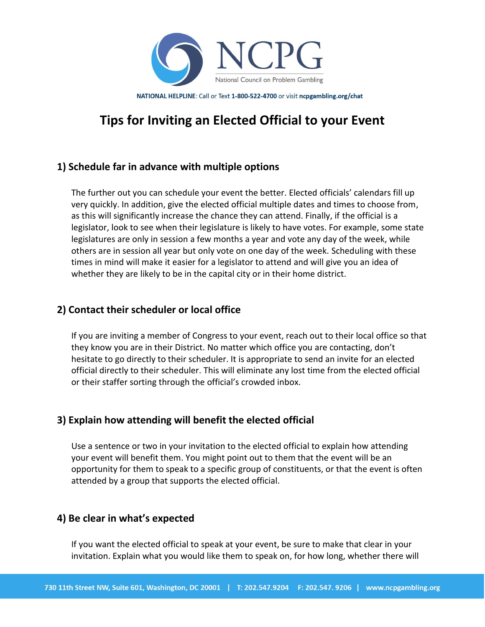

NATIONAL HELPLINE: Call or Text 1-800-522-4700 or visit ncpgambling.org/chat

# **Tips for Inviting an Elected Official to your Event**

## **1) Schedule far in advance with multiple options**

The further out you can schedule your event the better. Elected officials' calendars fill up very quickly. In addition, give the elected official multiple dates and times to choose from, as this will significantly increase the chance they can attend. Finally, if the official is a legislator, look to see when their legislature is likely to have votes. For example, some state legislatures are only in session a few months a year and vote any day of the week, while others are in session all year but only vote on one day of the week. Scheduling with these times in mind will make it easier for a legislator to attend and will give you an idea of whether they are likely to be in the capital city or in their home district.

#### **2) Contact their scheduler or local office**

If you are inviting a member of Congress to your event, reach out to their local office so that they know you are in their District. No matter which office you are contacting, don't hesitate to go directly to their scheduler. It is appropriate to send an invite for an elected official directly to their scheduler. This will eliminate any lost time from the elected official or their staffer sorting through the official's crowded inbox.

## **3) Explain how attending will benefit the elected official**

Use a sentence or two in your invitation to the elected official to explain how attending your event will benefit them. You might point out to them that the event will be an opportunity for them to speak to a specific group of constituents, or that the event is often attended by a group that supports the elected official.

#### **4) Be clear in what's expected**

If you want the elected official to speak at your event, be sure to make that clear in your invitation. Explain what you would like them to speak on, for how long, whether there will